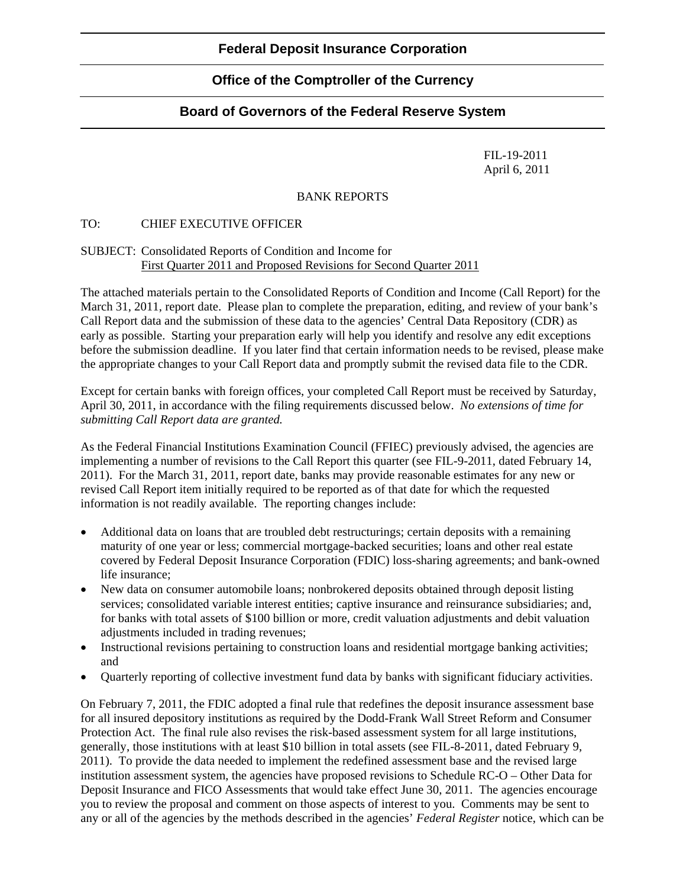# **Office of the Comptroller of the Currency**

## **Board of Governors of the Federal Reserve System**

 FIL-19-2011 April 6, 2011

### BANK REPORTS

### TO: CHIEF EXECUTIVE OFFICER

#### SUBJECT: Consolidated Reports of Condition and Income for First Quarter 2011 and Proposed Revisions for Second Quarter 2011

The attached materials pertain to the Consolidated Reports of Condition and Income (Call Report) for the March 31, 2011, report date. Please plan to complete the preparation, editing, and review of your bank's Call Report data and the submission of these data to the agencies' Central Data Repository (CDR) as early as possible. Starting your preparation early will help you identify and resolve any edit exceptions before the submission deadline. If you later find that certain information needs to be revised, please make the appropriate changes to your Call Report data and promptly submit the revised data file to the CDR.

Except for certain banks with foreign offices, your completed Call Report must be received by Saturday, April 30, 2011, in accordance with the filing requirements discussed below. *No extensions of time for submitting Call Report data are granted.* 

As the Federal Financial Institutions Examination Council (FFIEC) previously advised, the agencies are implementing a number of revisions to the Call Report this quarter (see FIL-9-2011, dated February 14, 2011). For the March 31, 2011, report date, banks may provide reasonable estimates for any new or revised Call Report item initially required to be reported as of that date for which the requested information is not readily available. The reporting changes include:

- Additional data on loans that are troubled debt restructurings; certain deposits with a remaining maturity of one year or less; commercial mortgage-backed securities; loans and other real estate covered by Federal Deposit Insurance Corporation (FDIC) loss-sharing agreements; and bank-owned life insurance;
- New data on consumer automobile loans; nonbrokered deposits obtained through deposit listing services; consolidated variable interest entities; captive insurance and reinsurance subsidiaries; and, for banks with total assets of \$100 billion or more, credit valuation adjustments and debit valuation adjustments included in trading revenues;
- Instructional revisions pertaining to construction loans and residential mortgage banking activities; and
- Quarterly reporting of collective investment fund data by banks with significant fiduciary activities.

On February 7, 2011, the FDIC adopted a final rule that redefines the deposit insurance assessment base for all insured depository institutions as required by the Dodd-Frank Wall Street Reform and Consumer Protection Act. The final rule also revises the risk-based assessment system for all large institutions, generally, those institutions with at least \$10 billion in total assets (see FIL-8-2011, dated February 9, 2011). To provide the data needed to implement the redefined assessment base and the revised large institution assessment system, the agencies have proposed revisions to Schedule RC-O – Other Data for Deposit Insurance and FICO Assessments that would take effect June 30, 2011. The agencies encourage you to review the proposal and comment on those aspects of interest to you. Comments may be sent to any or all of the agencies by the methods described in the agencies' *Federal Register* notice, which can be